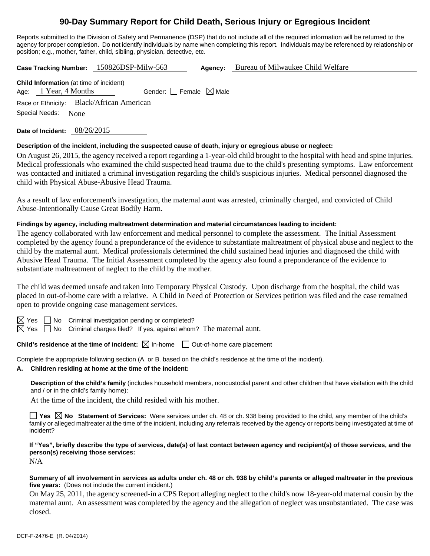# **90-Day Summary Report for Child Death, Serious Injury or Egregious Incident**

Reports submitted to the Division of Safety and Permanence (DSP) that do not include all of the required information will be returned to the agency for proper completion. Do not identify individuals by name when completing this report. Individuals may be referenced by relationship or position; e.g., mother, father, child, sibling, physician, detective, etc.

**Case Tracking Number:** 150826DSP-Milw-563 **Agency:** Bureau of Milwaukee Child Welfare

| <b>Child Information</b> (at time of incident) |  |                                           |                                 |  |  |  |  |  |
|------------------------------------------------|--|-------------------------------------------|---------------------------------|--|--|--|--|--|
| Age: 1 Year, 4 Months                          |  |                                           | Gender: Female $\boxtimes$ Male |  |  |  |  |  |
|                                                |  | Race or Ethnicity: Black/African American |                                 |  |  |  |  |  |
| Special Needs: None                            |  |                                           |                                 |  |  |  |  |  |
|                                                |  |                                           |                                 |  |  |  |  |  |

**Date of Incident:** 08/26/2015

## **Description of the incident, including the suspected cause of death, injury or egregious abuse or neglect:**

On August 26, 2015, the agency received a report regarding a 1-year-old child brought to the hospital with head and spine injuries. Medical professionals who examined the child suspected head trauma due to the child's presenting symptoms. Law enforcement was contacted and initiated a criminal investigation regarding the child's suspicious injuries. Medical personnel diagnosed the child with Physical Abuse-Abusive Head Trauma.

As a result of law enforcement's investigation, the maternal aunt was arrested, criminally charged, and convicted of Child Abuse-Intentionally Cause Great Bodily Harm.

## **Findings by agency, including maltreatment determination and material circumstances leading to incident:**

The agency collaborated with law enforcement and medical personnel to complete the assessment. The Initial Assessment completed by the agency found a preponderance of the evidence to substantiate maltreatment of physical abuse and neglect to the child by the maternal aunt. Medical professionals determined the child sustained head injuries and diagnosed the child with Abusive Head Trauma. The Initial Assessment completed by the agency also found a preponderance of the evidence to substantiate maltreatment of neglect to the child by the mother.

The child was deemed unsafe and taken into Temporary Physical Custody. Upon discharge from the hospital, the child was placed in out-of-home care with a relative. A Child in Need of Protection or Services petition was filed and the case remained open to provide ongoing case management services.

 $S \cap N$ o Criminal investigation pending or completed?

 $\boxtimes$  Yes  $\Box$  No Criminal charges filed? If yes, against whom? The maternal aunt.

**Child's residence at the time of incident:**  $\boxtimes$  In-home  $\Box$  Out-of-home care placement

Complete the appropriate following section (A. or B. based on the child's residence at the time of the incident).

**A. Children residing at home at the time of the incident:**

**Description of the child's family** (includes household members, noncustodial parent and other children that have visitation with the child and / or in the child's family home):

At the time of the incident, the child resided with his mother.

■ Yes **No** Statement of Services: Were services under ch. 48 or ch. 938 being provided to the child, any member of the child's family or alleged maltreater at the time of the incident, including any referrals received by the agency or reports being investigated at time of incident?

**If "Yes", briefly describe the type of services, date(s) of last contact between agency and recipient(s) of those services, and the person(s) receiving those services:** 

N/A

#### **Summary of all involvement in services as adults under ch. 48 or ch. 938 by child's parents or alleged maltreater in the previous five years:** (Does not include the current incident.)

On May 25, 2011, the agency screened-in a CPS Report alleging neglect to the child's now 18-year-old maternal cousin by the maternal aunt. An assessment was completed by the agency and the allegation of neglect was unsubstantiated. The case was closed.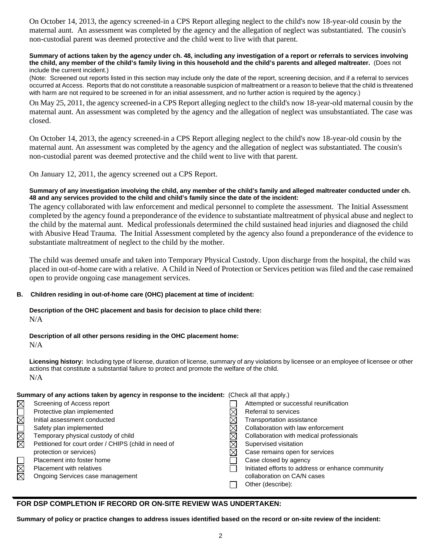On October 14, 2013, the agency screened-in a CPS Report alleging neglect to the child's now 18-year-old cousin by the maternal aunt. An assessment was completed by the agency and the allegation of neglect was substantiated. The cousin's non-custodial parent was deemed protective and the child went to live with that parent.

#### **Summary of actions taken by the agency under ch. 48, including any investigation of a report or referrals to services involving the child, any member of the child's family living in this household and the child's parents and alleged maltreater.** (Does not include the current incident.)

(Note: Screened out reports listed in this section may include only the date of the report, screening decision, and if a referral to services occurred at Access. Reports that do not constitute a reasonable suspicion of maltreatment or a reason to believe that the child is threatened with harm are not required to be screened in for an initial assessment, and no further action is required by the agency.)

On May 25, 2011, the agency screened-in a CPS Report alleging neglect to the child's now 18-year-old maternal cousin by the maternal aunt. An assessment was completed by the agency and the allegation of neglect was unsubstantiated. The case was closed.

On October 14, 2013, the agency screened-in a CPS Report alleging neglect to the child's now 18-year-old cousin by the maternal aunt. An assessment was completed by the agency and the allegation of neglect was substantiated. The cousin's non-custodial parent was deemed protective and the child went to live with that parent.

On January 12, 2011, the agency screened out a CPS Report.

## **Summary of any investigation involving the child, any member of the child's family and alleged maltreater conducted under ch. 48 and any services provided to the child and child's family since the date of the incident:**

The agency collaborated with law enforcement and medical personnel to complete the assessment. The Initial Assessment completed by the agency found a preponderance of the evidence to substantiate maltreatment of physical abuse and neglect to the child by the maternal aunt. Medical professionals determined the child sustained head injuries and diagnosed the child with Abusive Head Trauma. The Initial Assessment completed by the agency also found a preponderance of the evidence to substantiate maltreatment of neglect to the child by the mother.

The child was deemed unsafe and taken into Temporary Physical Custody. Upon discharge from the hospital, the child was placed in out-of-home care with a relative. A Child in Need of Protection or Services petition was filed and the case remained open to provide ongoing case management services.

## **B. Children residing in out-of-home care (OHC) placement at time of incident:**

#### **Description of the OHC placement and basis for decision to place child there:**  N/A

**Description of all other persons residing in the OHC placement home:** 

N/A

**Licensing history:** Including type of license, duration of license, summary of any violations by licensee or an employee of licensee or other actions that constitute a substantial failure to protect and promote the welfare of the child. N/A

|              | Summary of any actions taken by agency in response to the incident: (Check all that apply.) |  |                                                   |  |
|--------------|---------------------------------------------------------------------------------------------|--|---------------------------------------------------|--|
| $\boxtimes$  | Screening of Access report                                                                  |  | Attempted or successful reunification             |  |
|              | Protective plan implemented                                                                 |  | Referral to services                              |  |
|              | Initial assessment conducted                                                                |  | <b>Transportation assistance</b>                  |  |
|              | Safety plan implemented                                                                     |  | Collaboration with law enforcement                |  |
| <b>NNUNS</b> | Temporary physical custody of child                                                         |  | Collaboration with medical professionals          |  |
|              | Petitioned for court order / CHIPS (child in need of                                        |  | Supervised visitation                             |  |
|              | protection or services)                                                                     |  | Case remains open for services                    |  |
|              | Placement into foster home                                                                  |  | Case closed by agency                             |  |
| N<br>N       | <b>Placement with relatives</b>                                                             |  | Initiated efforts to address or enhance community |  |
|              | Ongoing Services case management                                                            |  | collaboration on CA/N cases                       |  |
|              |                                                                                             |  | Other (describe):                                 |  |

## **FOR DSP COMPLETION IF RECORD OR ON-SITE REVIEW WAS UNDERTAKEN:**

**Summary of policy or practice changes to address issues identified based on the record or on-site review of the incident:**